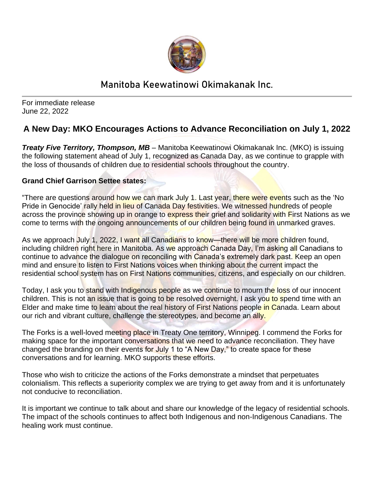

## **Manitoba Keewatinowi Okimakanak Inc.**

For immediate release June 22, 2022

## **A New Day: MKO Encourages Actions to Advance Reconciliation on July 1, 2022**

*Treaty Five Territory, Thompson, MB –* Manitoba Keewatinowi Okimakanak Inc. (MKO) is issuing the following statement ahead of July 1, recognized as Canada Day, as we continue to grapple with the loss of thousands of children due to residential schools throughout the country.

## **Grand Chief Garrison Settee states:**

"There are questions around how we can mark July 1. Last year, there were events such as the 'No Pride in Genocide' rally held in lieu of Canada Day festivities. We witnessed hundreds of people across the province showing up in orange to express their grief and solidarity with First Nations as we come to terms with the ongoing announcements of our children being found in unmarked graves.

As we approach July 1, 2022, I want all Canadians to know—there will be more children found, including children right here in Manitoba. As we approach Canada Day, I'm asking all Canadians to continue to advance the dialogue on reconciling with Canada's extremely dark past. Keep an open mind and ensure to listen to First Nations voices when thinking about the current impact the residential school system has on First Nations communities, citizens, and especially on our children.

Today, I ask you to stand with Indigenous people as we continue to mourn the loss of our innocent children. This is not an issue that is going to be resolved overnight. I ask you to spend time with an Elder and make time to learn about the real history of First Nations people in Canada. Learn about our rich and vibrant culture, challenge the stereotypes, and become an ally.

The Forks is a well-loved meeting place in Treaty One territory, Winnipeg. I commend the Forks for making space for the important conversations that we need to advance reconciliation. They have changed the branding on their events for July 1 to "A New Day," to create space for these conversations and for learning. MKO supports these efforts.

Those who wish to criticize the actions of the Forks demonstrate a mindset that perpetuates colonialism. This reflects a superiority complex we are trying to get away from and it is unfortunately not conducive to reconciliation.

It is important we continue to talk about and share our knowledge of the legacy of residential schools. The impact of the schools continues to affect both Indigenous and non-Indigenous Canadians. The healing work must continue.